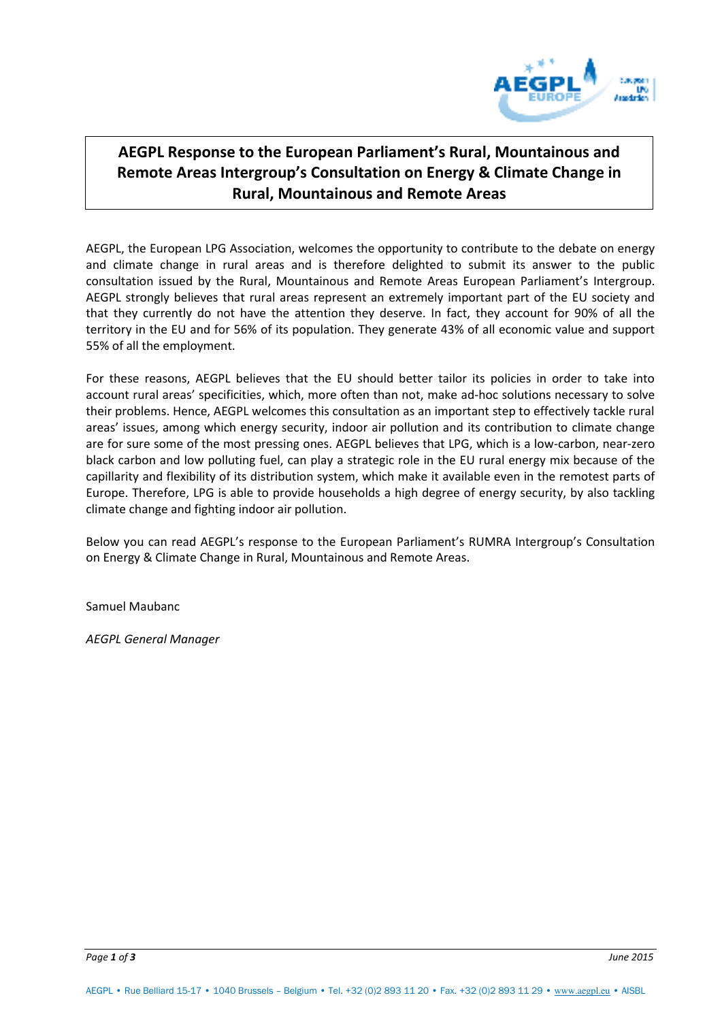

# **AEGPL Response to the European Parliament's Rural, Mountainous and Remote Areas Intergroup's Consultation on Energy & Climate Change in Rural, Mountainous and Remote Areas**

AEGPL, the European LPG Association, welcomes the opportunity to contribute to the debate on energy and climate change in rural areas and is therefore delighted to submit its answer to the public consultation issued by the Rural, Mountainous and Remote Areas European Parliament's Intergroup. AEGPL strongly believes that rural areas represent an extremely important part of the EU society and that they currently do not have the attention they deserve. In fact, they account for 90% of all the territory in the EU and for 56% of its population. They generate 43% of all economic value and support 55% of all the employment.

For these reasons, AEGPL believes that the EU should better tailor its policies in order to take into account rural areas' specificities, which, more often than not, make ad-hoc solutions necessary to solve their problems. Hence, AEGPL welcomes this consultation as an important step to effectively tackle rural areas' issues, among which energy security, indoor air pollution and its contribution to climate change are for sure some of the most pressing ones. AEGPL believes that LPG, which is a low-carbon, near-zero black carbon and low polluting fuel, can play a strategic role in the EU rural energy mix because of the capillarity and flexibility of its distribution system, which make it available even in the remotest parts of Europe. Therefore, LPG is able to provide households a high degree of energy security, by also tackling climate change and fighting indoor air pollution.

Below you can read AEGPL's response to the European Parliament's RUMRA Intergroup's Consultation on Energy & Climate Change in Rural, Mountainous and Remote Areas.

Samuel Maubanc

*AEGPL General Manager*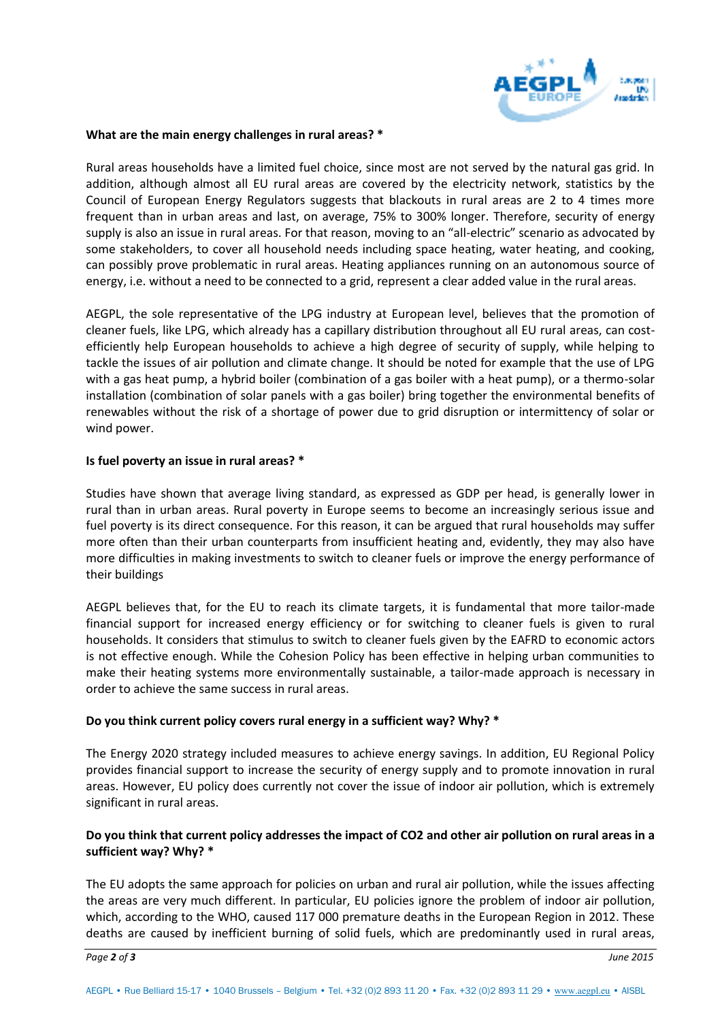

### **What are the main energy challenges in rural areas? \***

Rural areas households have a limited fuel choice, since most are not served by the natural gas grid. In addition, although almost all EU rural areas are covered by the electricity network, statistics by the Council of European Energy Regulators suggests that blackouts in rural areas are 2 to 4 times more frequent than in urban areas and last, on average, 75% to 300% longer. Therefore, security of energy supply is also an issue in rural areas. For that reason, moving to an "all-electric" scenario as advocated by some stakeholders, to cover all household needs including space heating, water heating, and cooking, can possibly prove problematic in rural areas. Heating appliances running on an autonomous source of energy, i.e. without a need to be connected to a grid, represent a clear added value in the rural areas.

AEGPL, the sole representative of the LPG industry at European level, believes that the promotion of cleaner fuels, like LPG, which already has a capillary distribution throughout all EU rural areas, can costefficiently help European households to achieve a high degree of security of supply, while helping to tackle the issues of air pollution and climate change. It should be noted for example that the use of LPG with a gas heat pump, a hybrid boiler (combination of a gas boiler with a heat pump), or a thermo-solar installation (combination of solar panels with a gas boiler) bring together the environmental benefits of renewables without the risk of a shortage of power due to grid disruption or intermittency of solar or wind power.

### **Is fuel poverty an issue in rural areas? \***

Studies have shown that average living standard, as expressed as GDP per head, is generally lower in rural than in urban areas. Rural poverty in Europe seems to become an increasingly serious issue and fuel poverty is its direct consequence. For this reason, it can be argued that rural households may suffer more often than their urban counterparts from insufficient heating and, evidently, they may also have more difficulties in making investments to switch to cleaner fuels or improve the energy performance of their buildings

AEGPL believes that, for the EU to reach its climate targets, it is fundamental that more tailor-made financial support for increased energy efficiency or for switching to cleaner fuels is given to rural households. It considers that stimulus to switch to cleaner fuels given by the EAFRD to economic actors is not effective enough. While the Cohesion Policy has been effective in helping urban communities to make their heating systems more environmentally sustainable, a tailor-made approach is necessary in order to achieve the same success in rural areas.

# **Do you think current policy covers rural energy in a sufficient way? Why? \***

The Energy 2020 strategy included measures to achieve energy savings. In addition, EU Regional Policy provides financial support to increase the security of energy supply and to promote innovation in rural areas. However, EU policy does currently not cover the issue of indoor air pollution, which is extremely significant in rural areas.

# **Do you think that current policy addresses the impact of CO2 and other air pollution on rural areas in a sufficient way? Why? \***

The EU adopts the same approach for policies on urban and rural air pollution, while the issues affecting the areas are very much different. In particular, EU policies ignore the problem of indoor air pollution, which, according to the WHO, caused 117 000 premature deaths in the European Region in 2012. These deaths are caused by inefficient burning of solid fuels, which are predominantly used in rural areas,